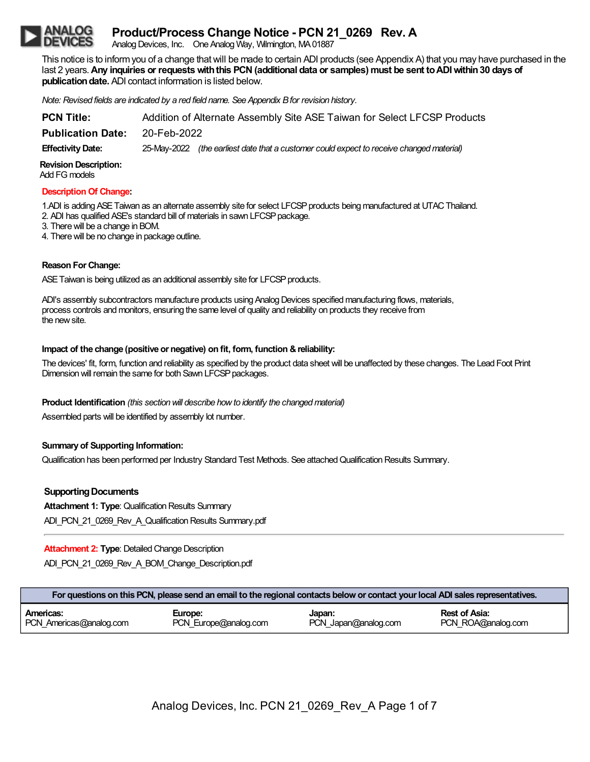# **Product/Process Change Notice - PCN 21\_0269 Rev. A**

Analog Devices, Inc. One Analog Way, Wilmington, MA01887

This notice is to informyou of a change thatwill be made to certain ADI products (see Appendix A) that you may have purchased in the last 2 years.**Any inquiries or requestswiththis PCN(additional data or samples) must be sent toADIwithin30 days of publication date.** ADI contact information is listed below.

*Note: Revised fields are indicated by a red field name. See Appendix Bfor revision history.*

| <b>PCN Title:</b>        | Addition of Alternate Assembly Site ASE Taiwan for Select LFCSP Products |                                                                                          |  |
|--------------------------|--------------------------------------------------------------------------|------------------------------------------------------------------------------------------|--|
| <b>Publication Date:</b> | 20-Feb-2022                                                              |                                                                                          |  |
| <b>Effectivity Date:</b> |                                                                          | 25-May-2022 (the earliest date that a customer could expect to receive changed material) |  |

**Revision Description:**

Add FG models

#### **Description Of Change:**

1.ADI is adding ASE Taiwan as an alternate assembly site for select LFCSP products being manufactured at UTAC Thailand. 2. ADI has qualified ASE's standard bill of materials in sawn LFCSP package.

3. Therewill be a change in BOM.

4. There will be no change in package outline.

## **Reason ForChange:**

ASE Taiwan is being utilized as an additional assembly site for LFCSP products.

ADI's assembly subcontractors manufacture products using Analog Devices specified manufacturing flows, materials, process controls and monitors, ensuring the same level of quality and reliability on products they receive from the newsite.

### **Impact of the change (positive or negative) on fit, form, function &reliability:**

The devices' fit, form, function and reliability as specified by the product data sheet will be unaffected by these changes. The Lead Foot Print Dimension will remain the same for both Sawn LFCSP packages.

## **Product Identification** *(this section will describe how to identify the changed material)*

Assembled parts will be identified by assembly lot number.

## **Summary of Supporting Information:**

Qualification has been performed per Industry Standard Test Methods. See attached Qualification Results Summary.

## **Supporting Documents**

**Attachment 1: Type: Qualification Results Summary** 

ADI\_PCN\_21\_0269\_Rev\_A\_Qualification Results Summary.pdf

**Attachment 2: Type: Detailed Change Description** 

ADI\_PCN\_21\_0269\_Rev\_A\_BOM\_Change\_Description.pdf

| For questions on this PCN, please send an email to the regional contacts below or contact your local ADI sales representatives. |                       |                      |                    |
|---------------------------------------------------------------------------------------------------------------------------------|-----------------------|----------------------|--------------------|
| Americas:                                                                                                                       | Europe:               | Japan:               | Rest of Asia:      |
| PCN Americas@analog.com                                                                                                         | PCN Europe@analog.com | PCN Japan@analog.com | PCN ROA@analog.com |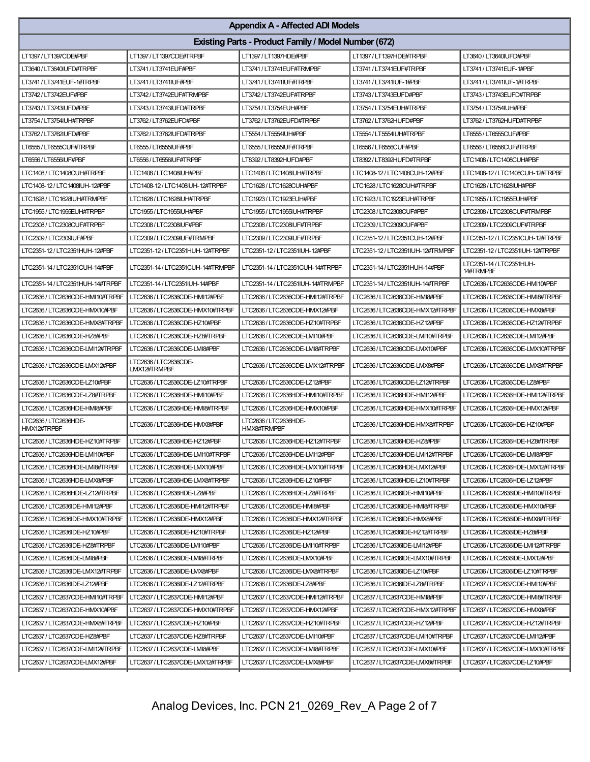| <b>Appendix A - Affected ADI Models</b> |                                                             |                                             |                                   |                                       |  |
|-----------------------------------------|-------------------------------------------------------------|---------------------------------------------|-----------------------------------|---------------------------------------|--|
|                                         | <b>Existing Parts - Product Family / Model Number (672)</b> |                                             |                                   |                                       |  |
| LT1397 / LT1397CDE#PBF                  | LT1397 / LT1397CDE#TRPBF                                    | LT1397 / LT1397HDE#PBF                      | LT1397/LT1397HDE#TRPBF            | LT3640/LT3640IUFD#PBF                 |  |
| LT3640/LT3640IUFD#TRPBF                 | LT3741 / LT3741EUF#PBF                                      | LT3741 / LT3741EUF#TRMPBF                   | LT3741 / LT3741EUF#TRPBF          | LT3741 / LT3741EUF-1#PBF              |  |
| LT3741 / LT3741EUF-1#TRPBF              | LT3741 / LT3741IUF#PBF                                      | LT3741 / LT3741IUF#TRPBF                    | LT3741 / LT3741IUF-1#PBF          | LT3741 / LT3741IUF-1#TRPBF            |  |
| LT3742 / LT3742EUF#PBF                  | LT3742 / LT3742EUF#TRMPBF                                   | LT3742 / LT3742EUF#TRPBF                    | LT3743/LT3743EUFD#PBF             | LT3743 / LT3743EUFD#TRPBF             |  |
| LT3743 / LT3743IUFD#PBF                 | LT3743/LT3743IUFD#TRPBF                                     | LT3754 / LT3754EUH#PBF                      | LT3754/LT3754EUH#TRPBF            | LT3754 / LT3754IUH#PBF                |  |
| LT3754 / LT3754IUH#TRPBF                | LT3762/LT3762EUFD#PBF                                       | LT3762 / LT3762EUFD#TRPBF                   | LT3762 / LT3762HUFD#PBF           | LT3762/LT3762HUFD#TRPBF               |  |
| LT3762 / LT3762IUFD#PBF                 | LT3762 / LT3762IUFD#TRPBF                                   | LT5554 / LT5554IUH#PBF                      | LT5554/LT5554IUH#TRPBF            | LT6555 / LT6555CUF#PBF                |  |
| LT6555 / LT6555CUF#TRPBF                | LT6555 / LT6555IUF#PBF                                      | LT6555 / LT6555IUF#TRPBF                    | LT6556 / LT6556CUF#PBF            | LT6556 / LT6556CUF#TRPBF              |  |
| LT6556 / LT6556IUF#PBF                  | LT6556 / LT6556IUF#TRPBF                                    | LT8392/LT8392HUFD#PBF                       | LT8392 / LT8392HUFD#TRPBF         | LTC1408/LTC1408CUH#PBF                |  |
| LTC1408/LTC1408CUH#TRPBF                | LTC1408/LTC1408IUH#PBF                                      | LTC1408 / LTC1408IUH#TRPBF                  | LTC1408-12 / LTC1408CUH-12#PBF    | LTC1408-12 / LTC1408CUH-12#TRPBF      |  |
| LTC1408-12 / LTC1408IUH-12#PBF          | LTC1408-12 / LTC1408IUH-12#TRPBF                            | LTC1628/LTC1628CUH#PBF                      | LTC1628 / LTC1628CUH#TRPBF        | LTC1628 / LTC1628IUH#PBF              |  |
| LTC1628 / LTC1628IUH#TRMPBF             | LTC1628 / LTC1628IUH#TRPBF                                  | LTC1923 / LTC1923EUH#PBF                    | LTC1923 / LTC1923EUH#TRPBF        | LTC1955 / LTC1955EUH#PBF              |  |
| LTC1955 / LTC1955EUH#TRPBF              | LTC1955 / LTC1955IUH#PBF                                    | LTC1955/LTC1955IUH#TRPBF                    | LTC2308 / LTC2308CUF#PBF          | LTC2308 / LTC2308CUF#TRMPBF           |  |
| LTC2308/LTC2308CUF#TRPBF                | LTC2308 / LTC2308IUF#PBF                                    | LTC2308 / LTC2308IUF#TRPBF                  | LTC2309 / LTC2309CUF#PBF          | LTC2309 / LTC2309CUF#TRPBF            |  |
| LTC2309 / LTC2309IUF#PBF                | LTC2309 / LTC2309IUF#TRMPBF                                 | LTC2309 / LTC2309IUF#TRPBF                  | LTC2351-12 / LTC2351CUH-12#PBF    | LTC2351-12 / LTC2351CUH-12#TRPBF      |  |
| LTC2351-12 / LTC2351HUH-12#PBF          | LTC2351-12 / LTC2351HUH-12#TRPBF                            | LTC2351-12 / LTC2351IUH-12#PBF              | LTC2351-12 / LTC2351IUH-12#TRMPBF | LTC2351-12 / LTC2351IUH-12#TRPBF      |  |
| LTC2351-14 / LTC2351CUH-14#PBF          | LTC2351-14 / LTC2351CUH-14#TRMPBF                           | LTC2351-14 / LTC2351CUH-14#TRPBF            | LTC2351-14 / LTC2351HUH-14#PBF    | LTC2351-14 / LTC2351HUH-<br>14#TRMPBF |  |
| LTC2351-14 / LTC2351HUH-14#TRPBF        | LTC2351-14 / LTC2351IUH-14#PBF                              | LTC2351-14 / LTC2351IUH-14#TRMPBF           | LTC2351-14 / LTC2351IUH-14#TRPBF  | LTC2636 / LTC2636CDE-HMI10#PBF        |  |
| LTC2636/LTC2636CDE-HMI10#TRPBF          | LTC2636 / LTC2636CDE-HMI12#PBF                              | LTC2636/LTC2636CDE-HMI12#TRPBF              | LTC2636 / LTC2636CDE-HMI8#PBF     | LTC2636 / LTC2636CDE-HMI8#TRPBF       |  |
| LTC2636/LTC2636CDE-HMX10#PBF            | LTC2636/LTC2636CDE-HMX10#TRPBF                              | LTC2636 / LTC2636CDE-HMX12#PBF              | LTC2636/LTC2636CDE-HMX12#TRPBF    | LTC2636 / LTC2636CDE-HMX8#PBF         |  |
| LTC2636/LTC2636CDE-HMX8#TRPBF           | LTC2636/LTC2636CDE-HZ10#PBF                                 | LTC2636/LTC2636CDE-HZ10#TRPBF               | LTC2636/LTC2636CDE-HZ12#PBF       | LTC2636/LTC2636CDE-HZ12#TRPBF         |  |
| LTC2636/LTC2636CDE-HZ8#PBF              | LTC2636/LTC2636CDE-HZ8#TRPBF                                | LTC2636/LTC2636CDE-LMI10#PBF                | LTC2636/LTC2636CDE-LMI10#TRPBF    | LTC2636/LTC2636CDE-LMI12#PBF          |  |
| LTC2636/LTC2636CDE-LMI12#TRPBF          | LTC2636 / LTC2636CDE-LMI8#PBF                               | LTC2636/LTC2636CDE-LMI8#TRPBF               | LTC2636/LTC2636CDE-LMX10#PBF      | LTC2636 / LTC2636CDE-LMX10#TRPBF      |  |
| LTC2636 / LTC2636CDE-LMX12#PBF          | LTC2636 / LTC2636CDE-<br>LMX12#TRMPBF                       | LTC2636/LTC2636CDE-LMX12#TRPBF              | LTC2636/LTC2636CDE-LMX8#PBF       | LTC2636/LTC2636CDE-LMX8#TRPBF         |  |
| LTC2636 / LTC2636CDE-LZ10#PBF           | LTC2636/LTC2636CDE-LZ10#TRPBF                               | LTC2636 / LTC2636CDE-LZ12#PBF               | LTC2636/LTC2636CDE-LZ12#TRPBF     | LTC2636 / LTC2636CDE-LZ8#PBF          |  |
| LTC2636/LTC2636CDE-LZ8#TRPBF            | LTC2636/LTC2636HDE-HMI10#PBF                                | LTC2636/LTC2636HDE-HMI10#TRPBF              | LTC2636/LTC2636HDE-HMI12#PBF      | LTC2636 / LTC2636HDE-HMI12#TRPBF      |  |
| LTC2636 / LTC2636HDE-HMI8#PBF           | LTC2636/LTC2636HDE-HMI8#TRPBF                               | LTC2636 / LTC2636HDE-HMX10#PBF              | LTC2636/LTC2636HDE-HMX10#TRPBF    | LTC2636 / LTC2636HDE-HMX12#PBF        |  |
| LTC2636 / LTC2636HDE-<br>HMX12#TRPBF    | LTC2636/LTC2636HDE-HMX8#PBF                                 | LTC2636 / LTC2636HDE-<br><b>HMX8#TRMPBF</b> | LTC2636 / LTC2636HDE-HMX8#TRPBF   | LTC2636/LTC2636HDE-HZ10#PBF           |  |
| LTC2636 / LTC2636HDE-HZ10#TRPBF         | LTC2636/LTC2636HDE-HZ12#PBF                                 | LTC2636 / LTC2636HDE-HZ12#TRPBF             | LTC2636 / LTC2636HDE-HZ8#PBF      | LTC2636/LTC2636HDE-HZ8#TRPBF          |  |
| LTC2636/LTC2636HDE-LMI10#PBF            | LTC2636/LTC2636HDE-LMI10#TRPBF                              | LTC2636/LTC2636HDE-LMI12#PBF                | LTC2636 / LTC2636HDE-LMI12#TRPBF  | LTC2636 / LTC2636HDE-LMI8#PBF         |  |
| LTC2636/LTC2636HDE-LMI8#TRPBF           | LTC2636/LTC2636HDE-LMX10#PBF                                | LTC2636/LTC2636HDE-LMX10#TRPBF              | LTC2636/LTC2636HDE-LMX12#PBF      | LTC2636/LTC2636HDE-LMX12#TRPBF        |  |
| LTC2636/LTC2636HDE-LMX8#PBF             | LTC2636/LTC2636HDE-LMX8#TRPBF                               | LTC2636/LTC2636HDE-LZ10#PBF                 | LTC2636/LTC2636HDE-LZ10#TRPBF     | LTC2636/LTC2636HDE-LZ12#PBF           |  |
| LTC2636/LTC2636HDE-LZ12#TRPBF           | LTC2636 / LTC2636HDE-LZ8#PBF                                | LTC2636 / LTC2636HDE-LZ8#TRPBF              | LTC2636/LTC2636IDE-HMI10#PBF      | LTC2636 / LTC2636IDE-HMI10#TRPBF      |  |
| LTC2636/LTC2636IDE-HMI12#PBF            | LTC2636/LTC2636IDE-HMI12#TRPBF                              | LTC2636 / LTC2636IDE-HMI8#PBF               | LTC2636/LTC2636IDE-HMI8#TRPBF     | LTC2636/LTC2636IDE-HMX10#PBF          |  |
| LTC2636/LTC2636IDE-HMX10#TRPBF          | LTC2636/LTC2636IDE-HMX12#PBF                                | LTC2636/LTC2636IDE-HMX12#TRPBF              | LTC2636/LTC2636IDE-HMX8#PBF       | LTC2636/LTC2636IDE-HMX8#TRPBF         |  |
| LTC2636 / LTC2636IDE-HZ10#PBF           | LTC2636 / LTC2636IDE-HZ10#TRPBF                             | LTC2636 / LTC2636IDE-HZ12#PBF               | LTC2636/LTC2636IDE-HZ12#TRPBF     | LTC2636 / LTC2636IDE-HZ8#PBF          |  |
| LTC2636 / LTC2636IDE-HZ8#TRPBF          | LTC2636 / LTC2636IDE-LMI10#PBF                              | LTC2636 / LTC2636IDE-LMI10#TRPBF            | LTC2636 / LTC2636IDE-LMI12#PBF    | LTC2636/LTC2636IDE-LMI12#TRPBF        |  |
| LTC2636/LTC2636IDE-LMI8#PBF             | LTC2636 / LTC2636IDE-LMI8#TRPBF                             | LTC2636/LTC2636IDE-LMX10#PBF                | LTC2636 / LTC2636IDE-LMX10#TRPBF  | LTC2636 / LTC2636IDE-LMX12#PBF        |  |
| LTC2636/LTC2636IDE-LMX12#TRPBF          | LTC2636/LTC2636IDE-LMX8#PBF                                 | LTC2636 / LTC2636IDE-LMX8#TRPBF             | LTC2636/LTC2636IDE-LZ10#PBF       | LTC2636/LTC2636IDE-LZ10#TRPBF         |  |
| LTC2636/LTC2636IDE-LZ12#PBF             | LTC2636/LTC2636IDE-LZ12#TRPBF                               | LTC2636 / LTC2636IDE-LZ8#PBF                | LTC2636/LTC2636IDE-LZ8#TRPBF      | LTC2637/LTC2637CDE-HMI10#PBF          |  |
| LTC2637 / LTC2637CDE-HMI10#TRPBF        | LTC2637 / LTC2637CDE-HMI12#PBF                              | LTC2637 / LTC2637CDE-HMI12#TRPBF            | LTC2637 / LTC2637CDE-HMI8#PBF     | LTC2637 / LTC2637CDE-HMI8#TRPBF       |  |
| LTC2637 / LTC2637CDE-HMX10#PBF          | LTC2637/LTC2637CDE-HMX10#TRPBF                              | LTC2637 / LTC2637CDE-HMX12#PBF              | LTC2637 / LTC2637CDE-HMX12#TRPBF  | LTC2637 / LTC2637CDE-HMX8#PBF         |  |
| LTC2637 / LTC2637CDE-HMX8#TRPBF         | LTC2637 / LTC2637CDE-HZ10#PBF                               | LTC2637/LTC2637CDE-HZ10#TRPBF               | LTC2637 / LTC2637CDE-HZ12#PBF     | LTC2637/LTC2637CDE-HZ12#TRPBF         |  |
| LTC2637 / LTC2637CDE-HZ8#PBF            | LTC2637/LTC2637CDE-HZ8#TRPBF                                | LTC2637 / LTC2637CDE-LMI10#PBF              | LTC2637 / LTC2637CDE-LMI10#TRPBF  | LTC2637 / LTC2637CDE-LMI12#PBF        |  |
| LTC2637 / LTC2637CDE-LMI12#TRPBF        | LTC2637 / LTC2637CDE-LMI8#PBF                               | LTC2637 / LTC2637CDE-LMI8#TRPBF             | LTC2637 / LTC2637CDE-LMX10#PBF    | LTC2637/LTC2637CDE-LMX10#TRPBF        |  |
| LTC2637 / LTC2637CDE-LMX12#PBF          | LTC2637/LTC2637CDE-LMX12#TRPBF                              | LTC2637 / LTC2637CDE-LMX8#PBF               | LTC2637/LTC2637CDE-LMX8#TRPBF     | LTC2637/LTC2637CDE-LZ10#PBF           |  |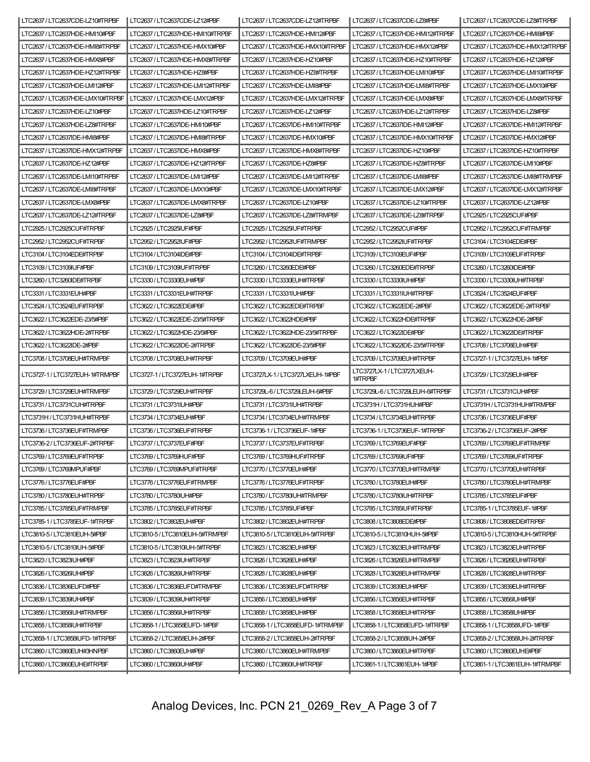| LTC2637/LTC2637CDE-LZ10#TRPBF    | LTC2637/LTC2637CDE-LZ12#PBF     | LTC2637/LTC2637CDE-LZ12#TRPBF    | LTC2637/LTC2637CDE-LZ8#PBF             | LTC2637/LTC2637CDE-LZ8#TRPBF     |
|----------------------------------|---------------------------------|----------------------------------|----------------------------------------|----------------------------------|
| LTC2637 / LTC2637HDE-HMI10#PBF   | LTC2637/LTC2637HDE-HMI10#TRPBF  | LTC2637 / LTC2637HDE-HMI12#PBF   | LTC2637/LTC2637HDE-HMI12#TRPBF         | LTC2637 / LTC2637HDE-HMI8#PBF    |
| LTC2637 / LTC2637HDE-HMI8#TRPBF  | LTC2637 / LTC2637HDE-HMX10#PBF  | LTC2637 / LTC2637HDE-HMX10#TRPBF | LTC2637 / LTC2637HDE-HMX12#PBF         | LTC2637 / LTC2637HDE-HMX12#TRPBF |
| LTC2637 / LTC2637HDE-HMX8#PBF    | LTC2637 / LTC2637HDE-HMX8#TRPBF | LTC2637 / LTC2637HDE-HZ10#PBF    | LTC2637/LTC2637HDE-HZ10#TRPBF          | LTC2637 / LTC2637HDE-HZ12#PBF    |
| LTC2637/LTC2637HDE-HZ12#TRPBF    | LTC2637 / LTC2637HDE-HZ8#PBF    | LTC2637/LTC2637HDE-HZ8#TRPBF     | LTC2637/LTC2637HDE-LMI10#PBF           | LTC2637/LTC2637HDE-LMI10#TRPBF   |
| LTC2637 / LTC2637HDE-LMI12#PBF   | LTC2637/LTC2637HDE-LMI12#TRPBF  | LTC2637 / LTC2637HDE-LMI8#PBF    | LTC2637/LTC2637HDE-LMI8#TRPBF          | LTC2637 / LTC2637HDE-LMX10#PBF   |
| LTC2637 / LTC2637HDE-LMX10#TRPBF | LTC2637 / LTC2637HDE-LMX12#PBF  | LTC2637/LTC2637HDE-LMX12#TRPBF   | LTC2637 / LTC2637HDE-LMX8#PBF          | LTC2637/LTC2637HDE-LMX8#TRPBF    |
| LTC2637/LTC2637HDE-LZ10#PBF      | LTC2637/LTC2637HDE-LZ10#TRPBF   | LTC2637 / LTC2637HDE-LZ12#PBF    | LTC2637/LTC2637HDE-LZ12#TRPBF          | LTC2637 / LTC2637HDE-LZ8#PBF     |
| LTC2637/LTC2637HDE-LZ8#TRPBF     | LTC2637 / LTC2637IDE-HMI10#PBF  | LTC2637/LTC2637IDE-HMI10#TRPBF   | LTC2637 / LTC2637IDE-HMI12#PBF         | LTC2637/LTC2637IDE-HMI12#TRPBF   |
| LTC2637 / LTC2637IDE-HMI8#PBF    | LTC2637/LTC2637IDE-HMI8#TRPBF   | LTC2637 / LTC2637IDE-HMX10#PBF   | LTC2637 / LTC2637IDE-HMX10#TRPBF       | LTC2637 / LTC2637IDE-HMX12#PBF   |
| LTC2637 / LTC2637IDE-HMX12#TRPBF | LTC2637 / LTC2637IDE-HMX8#PBF   | LTC2637/LTC2637IDE-HMX8#TRPBF    | LTC2637 / LTC2637IDE-HZ10#PBF          | LTC2637/LTC2637IDE-HZ10#TRPBF    |
| LTC2637 / LTC2637IDE-HZ12#PBF    | LTC2637/LTC2637IDE-HZ12#TRPBF   | LTC2637 / LTC2637IDE-HZ8#PBF     | LTC2637/LTC2637IDE-HZ8#TRPBF           | LTC2637 / LTC2637IDE-LMI10#PBF   |
| LTC2637/LTC2637IDE-LMI10#TRPBF   | LTC2637 / LTC2637IDE-LMI12#PBF  | LTC2637/LTC2637IDE-LMI12#TRPBF   | LTC2637 / LTC2637IDE-LMI8#PBF          | LTC2637 / LTC2637IDE-LMI8#TRMPBF |
| LTC2637 / LTC2637IDE-LMI8#TRPBF  | LTC2637 / LTC2637IDE-LMX10#PBF  | LTC2637/LTC2637IDE-LMX10#TRPBF   | LTC2637 / LTC2637IDE-LMX12#PBF         | LTC2637 / LTC2637IDE-LMX12#TRPBF |
| LTC2637 / LTC2637IDE-LMX8#PBF    | LTC2637/LTC2637IDE-LMX8#TRPBF   | LTC2637 / LTC2637IDE-LZ10#PBF    | LTC2637/LTC2637IDE-LZ10#TRPBF          | LTC2637 / LTC2637IDE-LZ12#PBF    |
| LTC2637 / LTC2637IDE-LZ12#TRPBF  | LTC2637 / LTC2637IDE-LZ8#PBF    | LTC2637/LTC2637IDE-LZ8#TRMPBF    | LTC2637 / LTC2637IDE-LZ8#TRPBF         | LTC2925/LTC2925CUF#PBF           |
| LTC2925/LTC2925CUF#TRPBF         | LTC2925 / LTC2925IUF#PBF        | LTC2925/LTC2925IUF#TRPBF         | LTC2952 / LTC2952CUF#PBF               | LTC2952 / LTC2952CUF#TRMPBF      |
| LTC2952 / LTC2952CUF#TRPBF       | LTC2952 / LTC2952IUF#PBF        | LTC2952 / LTC2952IUF#TRMPBF      | LTC2952 / LTC2952IUF#TRPBF             | LTC3104 / LTC3104EDE#PBF         |
| LTC3104 / LTC3104EDE#TRPBF       | LTC3104 / LTC3104IDE#PBF        | LTC3104/LTC3104IDE#TRPBF         | LTC3109 / LTC3109EUF#PBF               | LTC3109 / LTC3109EUF#TRPBF       |
| LTC3109 / LTC3109IUF#PBF         | LTC3109/LTC3109IUF#TRPBF        | LTC3260/LTC3260EDE#PBF           | LTC3260/LTC3260EDE#TRPBF               | LTC3260/LTC3260IDE#PBF           |
| LTC3260/LTC3260IDE#TRPBF         | LTC3330/LTC3330EUH#PBF          | LTC3330/LTC3330EUH#TRPBF         | LTC3330/LTC3330IUH#PBF                 | LTC3330/LTC3330IUH#TRPBF         |
| LTC3331 / LTC3331EUH#PBF         | LTC3331/LTC3331EUH#TRPBF        | LTC3331 / LTC3331IUH#PBF         | LTC3331/LTC3331IUH#TRPBF               | LTC3524 / LTC3524EUF#PBF         |
| LTC3524 / LTC3524EUF#TRPBF       | LTC3622 / LTC3622EDE#PBF        | LTC3622/LTC3622EDE#TRPBF         | LTC3622 / LTC3622EDE-2#PBF             | LTC3622/LTC3622EDE-2#TRPBF       |
| LTC3622 / LTC3622EDE-23/5#PBF    | LTC3622 / LTC3622EDE-23/5#TRPBF | LTC3622 / LTC3622HDE#PBF         | LTC3622 / LTC3622HDE#TRPBF             | LTC3622 / LTC3622HDE-2#PBF       |
| LTC3622/LTC3622HDE-2#TRPBF       | LTC3622 / LTC3622HDE-23/5#PBF   | LTC3622 / LTC3622HDE-23/5#TRPBF  | LTC3622 / LTC3622IDE#PBF               | LTC3622 / LTC3622IDE#TRPBF       |
| LTC3622 / LTC3622IDE-2#PBF       | LTC3622/LTC3622IDE-2#TRPBF      | LTC3622 / LTC3622IDE-23/5#PBF    | LTC3622 / LTC3622IDE-23/5#TRPBF        | LTC3708 / LTC3708EUH#PBF         |
| LTC3708 / LTC3708EUH#TRMPBF      | LTC3708 / LTC3708EUH#TRPBF      | LTC3709 / LTC3709EUH#PBF         | LTC3709 / LTC3709EUH#TRPBF             | LTC3727-1 / LTC3727EUH-1#PBF     |
| LTC3727-1 / LTC3727EUH-1#TRMPBF  | LTC3727-1 / LTC3727EUH-1#TRPBF  | LTC3727LX-1 / LTC3727LXEUH-1#PBF | LTC3727LX-1 / LTC3727LXEUH-<br>1#TRPBF | LTC3729 / LTC3729EUH#PBF         |
| LTC3729/LTC3729EUH#TRMPBF        | LTC3729 / LTC3729EUH#TRPBF      | LTC3729L-6 / LTC3729LEUH-6#PBF   | LTC3729L-6 / LTC3729LEUH-6#TRPBF       | LTC3731 / LTC3731CUH#PBF         |
| LTC3731 / LTC3731CUH#TRPBF       | LTC3731 / LTC3731IUH#PBF        | LTC3731 / LTC3731IUH#TRPBF       | LTC3731H / LTC3731HUH#PBF              | LTC3731H / LTC3731HUH#TRMPBF     |
| LTC3731H / LTC3731HUH#TRPBF      | LTC3734 / LTC3734EUH#PBF        | LTC3734 / LTC3734EUH#TRMPBF      | LTC3734 / LTC3734EUH#TRPBF             | LTC3736 / LTC3736EUF#PBF         |
| LTC3736/LTC3736EUF#TRMPBF        | LTC3736 / LTC3736EUF#TRPBF      | LTC3736-1 / LTC3736EUF-1#PBF     | LTC3736-1 / LTC3736EUF-1#TRPBF         | LTC3736-2 / LTC3736EUF-2#PBF     |
| LTC3736-2/LTC3736EUF-2#TRPBF     | LTC3737 / LTC3737EUF#PBF        | LTC3737 / LTC3737EUF#TRPBF       | LTC3769 / LTC3769EUF#PBF               | LTC3769 / LTC3769EUF#TRMPBF      |
| LTC3769/LTC3769EUF#TRPBF         | LTC3769 / LTC3769HUF#PBF        | LTC3769/LTC3769HUF#TRPBF         | LTC3769 / LTC3769IUF#PBF               | LTC3769 / LTC3769IUF#TRPBF       |
| LTC3769 / LTC3769MPUF#PBF        | LTC3769 / LTC3769MPUF#TRPBF     | LTC3770/LTC3770EUH#PBF           | LTC3770/LTC3770EUH#TRMPBF              | LTC3770/LTC3770EUH#TRPBF         |
| LTC3776 / LTC3776EUF#PBF         | LTC3776/LTC3776EUF#TRMPBF       | LTC3776/LTC3776EUF#TRPBF         | LTC3780 / LTC3780EUH#PBF               | LTC3780 / LTC3780EUH#TRMPBF      |
| LTC3780 / LTC3780EUH#TRPBF       | LTC3780 / LTC3780IUH#PBF        | LTC3780 / LTC3780IUH#TRMPBF      | LTC3780 / LTC3780IUH#TRPBF             | LTC3785 / LTC3785EUF#PBF         |
| LTC3785 / LTC3785EUF#TRMPBF      | LTC3785 / LTC3785EUF#TRPBF      | LTC3785/LTC3785IUF#PBF           | LTC3785/LTC3785IUF#TRPBF               | LTC3785-1 / LTC3785EUF-1#PBF     |
| LTC3785-1 / LTC3785EUF-1#TRPBF   | LTC3802 / LTC3802EUH#PBF        | LTC3802 / LTC3802EUH#TRPBF       | LTC3808/LTC3808EDE#PBF                 | LTC3808/LTC3808EDE#TRPBF         |
| LTC3810-5 / LTC3810EUH-5#PBF     | LTC3810-5/LTC3810EUH-5#TRMPBF   | LTC3810-5/LTC3810EUH-5#TRPBF     | LTC3810-5/LTC3810HUH-5#PBF             | LTC3810-5/LTC3810HUH-5#TRPBF     |
| LTC3810-5/LTC3810IUH-5#PBF       | LTC3810-5/LTC3810IUH-5#TRPBF    | LTC3823/LTC3823EUH#PBF           | LTC3823 / LTC3823EUH#TRMPBF            | LTC3823/LTC3823EUH#TRPBF         |
| LTC3823/LTC3823IUH#PBF           | LTC3823/LTC3823IUH#TRPBF        | LTC3826 / LTC3826EUH#PBF         | LTC3826 / LTC3826EUH#TRMPBF            | LTC3826 / LTC3826EUH#TRPBF       |
| LTC3826 / LTC3826IUH#PBF         | LTC3826 / LTC3826IUH#TRPBF      | LTC3828 / LTC3828EUH#PBF         | LTC3828 / LTC3828EUH#TRMPBF            | LTC3828 / LTC3828EUH#TRPBF       |
| LTC3836/LTC3836EUFD#PBF          | LTC3836/LTC3836EUFD#TRMPBF      | LTC3836/LTC3836EUFD#TRPBF        | LTC3839/LTC3839EUH#PBF                 | LTC3839/LTC3839EUH#TRPBF         |
| LTC3839/LTC3839IUH#PBF           | LTC3839/LTC3839IUH#TRPBF        | LTC3856 / LTC3856EUH#PBF         | LTC3856 / LTC3856EUH#TRPBF             | LTC3856 / LTC3856IUH#PBF         |
| LTC3856/LTC3856IUH#TRMPBF        | LTC3856 / LTC3856IUH#TRPBF      | LTC3858/LTC3858EUH#PBF           | LTC3858/LTC3858EUH#TRPBF               | LTC3858 / LTC3858IUH#PBF         |
| LTC3858/LTC3858IUH#TRPBF         | LTC3858-1 / LTC3858EUFD-1#PBF   | LTC3858-1 / LTC3858EUFD-1#TRMPBF | LTC3858-1/LTC3858EUFD-1#TRPBF          | LTC3858-1 / LTC3858IUFD-1#PBF    |
| LTC3858-1 / LTC3858IUFD-1#TRPBF  | LTC3858-2 / LTC3858EUH-2#PBF    | LTC3858-2/LTC3858EUH-2#TRPBF     | LTC3858-2 / LTC3858IUH-2#PBF           | LTC3858-2 / LTC3858IUH-2#TRPBF   |
| LTC3860/LTC3860EUH#3HNPBF        | LTC3860 / LTC3860EUH#PBF        | LTC3860/LTC3860EUH#TRMPBF        | LTC3860/LTC3860EUH#TRPBF               | LTC3860/LTC3860EUHE#PBF          |
| LTC3860/LTC3860EUHE#TRPBF        | LTC3860/LTC3860IUH#PBF          | LTC3860/LTC3860IUH#TRPBF         | LTC3861-1 / LTC3861EUH-1#PBF           | LTC3861-1 / LTC3861EUH-1#TRMPBF  |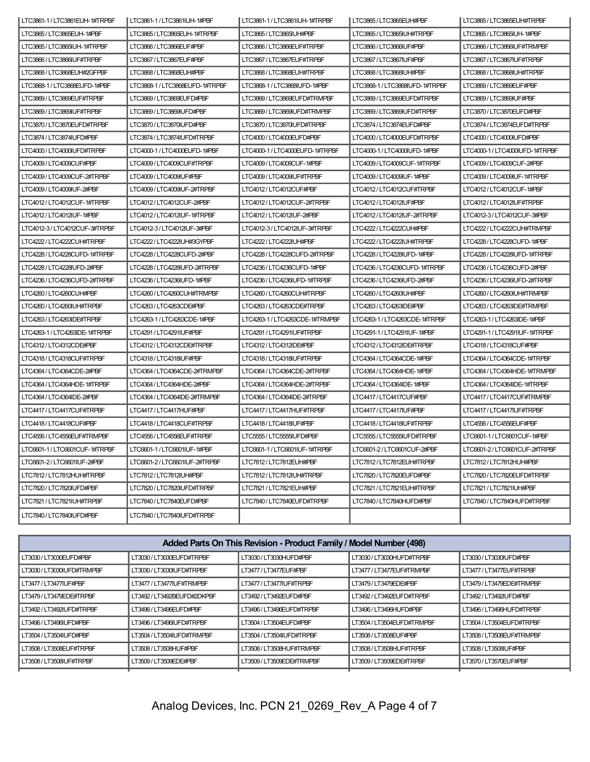| LTC3861-1 / LTC3861EUH-1#TRPBF | LTC3861-1 / LTC3861IUH-1#PBF  | LTC3861-1 / LTC3861IUH-1#TRPBF  | LTC3865/LTC3865EUH#PBF          | LTC3865/LTC3865EUH#TRPBF        |
|--------------------------------|-------------------------------|---------------------------------|---------------------------------|---------------------------------|
| LTC3865/LTC3865EUH-1#PBF       | LTC3865/LTC3865EUH-1#TRPBF    | LTC3865/LTC3865IUH#PBF          | LTC3865/LTC3865IUH#TRPBF        | LTC3865/LTC3865IUH-1#PBF        |
| LTC3865/LTC3865IUH-1#TRPBF     | LTC3866 / LTC3866EUF#PBF      | LTC3866 / LTC3866EUF#TRPBF      | LTC3866 / LTC3866IUF#PBF        | LTC3866/LTC3866IUF#TRMPBF       |
| LTC3866 / LTC3866IUF#TRPBF     | LTC3867 / LTC3867EUF#PBF      | LTC3867 / LTC3867EUF#TRPBF      | LTC3867 / LTC3867IUF#PBF        | LTC3867 / LTC3867IUF#TRPBF      |
| LTC3868/LTC3868EUH#2GFPBF      | LTC3868 / LTC3868EUH#PBF      | LTC3868/LTC3868EUH#TRPBF        | LTC3868/LTC3868IUH#PBF          | LTC3868/LTC3868IUH#TRPBF        |
| LTC3868-1 / LTC3868EUFD-1#PBF  | LTC3868-1/LTC3868EUFD-1#TRPBF | LTC3868-1 / LTC3868IUFD-1#PBF   | LTC3868-1 / LTC3868IUFD-1#TRPBF | LTC3869/LTC3869EUF#PBF          |
| LTC3869/LTC3869EUF#TRPBF       | LTC3869/LTC3869EUFD#PBF       | LTC3869/LTC3869EUFD#TRMPBF      | LTC3869/LTC3869EUFD#TRPBF       | LTC3869/LTC3869IUF#PBF          |
| LTC3869/LTC3869IUF#TRPBF       | LTC3869/LTC3869IUFD#PBF       | LTC3869/LTC3869IUFD#TRMPBF      | LTC3869/LTC3869IUFD#TRPBF       | LTC3870/LTC3870EUFD#PBF         |
| LTC3870 / LTC3870EUFD#TRPBF    | LTC3870/LTC3870IUFD#PBF       | LTC3870/LTC3870IUFD#TRPBF       | LTC3874 / LTC3874EUFD#PBF       | LTC3874 / LTC3874EUFD#TRPBF     |
| LTC3874 / LTC3874IUFD#PBF      | LTC3874 / LTC3874IUFD#TRPBF   | LTC4000 / LTC4000EUFD#PBF       | LTC4000 / LTC4000EUFD#TRPBF     | LTC4000 / LTC4000IUFD#PBF       |
| LTC4000 / LTC4000 IUFD#TRPBF   | LTC4000-1/LTC4000EUFD-1#PBF   | LTC4000-1 / LTC4000EUFD-1#TRPBF | LTC4000-1 / LTC4000IUFD-1#PBF   | LTC4000-1 / LTC4000IUFD-1#TRPBF |
| LTC4009 / LTC4009CUF#PBF       | LTC4009/LTC4009CUF#TRPBF      | LTC4009 / LTC4009CUF-1#PBF      | LTC4009/LTC4009CUF-1#TRPBF      | LTC4009/LTC4009CUF-2#PBF        |
| LTC4009/LTC4009CUF-2#TRPBF     | LTC4009 / LTC4009IUF#PBF      | LTC4009 / LTC4009IUF#TRPBF      | LTC4009 / LTC4009 IUF-1#PBF     | LTC4009/LTC4009IUF-1#TRPBF      |
| LTC4009 / LTC4009IUF-2#PBF     | LTC4009/LTC4009IUF-2#TRPBF    | LTC4012/LTC4012CUF#PBF          | LTC4012/LTC4012CUF#TRPBF        | LTC4012 / LTC4012CUF-1#PBF      |
| LTC4012/LTC4012CUF-1#TRPBF     | LTC4012 / LTC4012CUF-2#PBF    | LTC4012/LTC4012CUF-2#TRPBF      | LTC4012 / LTC4012IUF#PBF        | LTC4012/LTC4012IUF#TRPBF        |
| LTC4012 / LTC4012IUF-1#PBF     | LTC4012/LTC4012IUF-1#TRPBF    | LTC4012 / LTC4012IUF-2#PBF      | LTC4012/LTC4012IUF-2#TRPBF      | LTC4012-3 / LTC4012CUF-3#PBF    |
| LTC4012-3/LTC4012CUF-3#TRPBF   | LTC4012-3 / LTC4012IUF-3#PBF  | LTC4012-3/LTC4012IUF-3#TRPBF    | LTC4222 / LTC4222CUH#PBF        | LTC4222 / LTC4222CUH#TRMPBF     |
| LTC4222 / LTC4222CUH#TRPBF     | LTC4222 / LTC4222IUH#3GYPBF   | LTC4222 / LTC4222IUH#PBF        | LTC4222 / LTC4222IUH#TRPBF      | LTC4228 / LTC4228CUFD-1#PBF     |
| LTC4228 / LTC4228CUFD-1#TRPBF  | LTC4228 / LTC4228CUFD-2#PBF   | LTC4228 / LTC4228CUFD-2#TRPBF   | LTC4228 / LTC4228IUFD-1#PBF     | LTC4228 / LTC4228IUFD-1#TRPBF   |
| LTC4228 / LTC4228 IUFD-2#PBF   | LTC4228/LTC4228IUFD-2#TRPBF   | LTC4236 / LTC4236CUFD-1#PBF     | LTC4236 / LTC4236CUFD-1#TRPBF   | LTC4236 / LTC4236CUFD-2#PBF     |
| LTC4236 / LTC4236CUFD-2#TRPBF  | LTC4236 / LTC4236IUFD-1#PBF   | LTC4236 / LTC4236IUFD-1#TRPBF   | LTC4236 / LTC4236IUFD-2#PBF     | LTC4236/LTC4236IUFD-2#TRPBF     |
| LTC4260 / LTC4260CUH#PBF       | LTC4260 / LTC4260CUH#TRMPBF   | LTC4260 / LTC4260CUH#TRPBF      | LTC4260 / LTC4260IUH#PBF        | LTC4260 / LTC4260IUH#TRMPBF     |
| LTC4260 / LTC4260IUH#TRPBF     | LTC4263/LTC4263CDE#PBF        | LTC4263/LTC4263CDE#TRPBF        | LTC4263 / LTC4263IDE#PBF        | LTC4263/LTC4263IDE#TRMPBF       |
| LTC4263 / LTC4263IDE#TRPBF     | LTC4263-1 / LTC4263CDE-1#PBF  | LTC4263-1 / LTC4263CDE-1#TRMPBF | LTC4263-1 / LTC4263CDE-1#TRPBF  | LTC4263-1 / LTC4263IDE-1#PBF    |
| LTC4263-1 / LTC4263IDE-1#TRPBF | LTC4291 / LTC4291IUF#PBF      | LTC4291 / LTC4291IUF#TRPBF      | LTC4291-1 / LTC4291IUF-1#PBF    | LTC4291-1 / LTC4291IUF-1#TRPBF  |
| LTC4312/LTC4312CDE#PBF         | LTC4312/LTC4312CDE#TRPBF      | LTC4312/LTC4312IDE#PBF          | LTC4312/LTC4312IDE#TRPBF        | LTC4318/LTC4318CUF#PBF          |
| LTC4318/LTC4318CUF#TRPBF       | LTC4318/LTC4318IUF#PBF        | LTC4318/LTC4318IUF#TRPBF        | LTC4364 / LTC4364CDE-1#PBF      | LTC4364 / LTC4364CDE-1#TRPBF    |
| LTC4364 / LTC4364CDE-2#PBF     | LTC4364 / LTC4364CDE-2#TRMPBF | LTC4364 / LTC4364CDE-2#TRPBF    | LTC4364 / LTC4364HDE-1#PBF      | LTC4364 / LTC4364HDE-1#TRMPBF   |
| LTC4364 / LTC4364HDE-1#TRPBF   | LTC4364 / LTC4364HDE-2#PBF    | LTC4364 / LTC4364HDE-2#TRPBF    | LTC4364 / LTC4364IDE-1#PBF      | LTC4364 / LTC4364IDE-1#TRPBF    |
| LTC4364 / LTC4364IDE-2#PBF     | LTC4364 / LTC4364IDE-2#TRMPBF | LTC4364 / LTC4364IDE-2#TRPBF    | LTC4417 / LTC4417CUF#PBF        | LTC4417 / LTC4417CUF#TRMPBF     |
| LTC4417 / LTC4417CUF#TRPBF     | LTC4417 / LTC4417HUF#PBF      | LTC4417 / LTC4417HUF#TRPBF      | LTC4417 / LTC4417IUF#PBF        | LTC4417/LTC4417IUF#TRPBF        |
| LTC4418/LTC4418CUF#PBF         | LTC4418/LTC4418CUF#TRPBF      | LTC4418/LTC4418IUF#PBF          | LTC4418/LTC4418IUF#TRPBF        | LTC4556 / LTC4556EUF#PBF        |
| LTC4556 / LTC4556EUF#TRMPBF    | LTC4556 / LTC4556EUF#TRPBF    | LTC5555 / LTC5555IUFD#PBF       | LTC5555 / LTC5555IUFD#TRPBF     | LTC6601-1 / LTC6601CUF-1#PBF    |
| LTC6601-1 / LTC6601CUF-1#TRPBF | LTC6601-1 / LTC6601IUF-1#PBF  | LTC6601-1 / LTC6601IUF-1#TRPBF  | LTC6601-2 / LTC6601CUF-2#PBF    | LTC6601-2/LTC6601CUF-2#TRPBF    |
| LTC6601-2/LTC6601IUF-2#PBF     | LTC6601-2/LTC6601IUF-2#TRPBF  | LTC7812/LTC7812EUH#PBF          | LTC7812/LTC7812EUH#TRPBF        | LTC7812/LTC7812HUH#PBF          |
| LTC7812/LTC7812HUH#TRPBF       | LTC7812/LTC7812IUH#PBF        | LTC7812/LTC7812IUH#TRPBF        | LTC7820 / LTC7820EUFD#PBF       | LTC7820/LTC7820EUFD#TRPBF       |
| LTC7820/LTC7820IUFD#PBF        | LTC7820/LTC7820IUFD#TRPBF     | LTC7821 / LTC7821EUH#PBF        | LTC7821 / LTC7821EUH#TRPBF      | LTC7821 / LTC7821IUH#PBF        |
| LTC7821 / LTC7821IUH#TRPBF     | LTC7840/LTC7840EUFD#PBF       | LTC7840/LTC7840EUFD#TRPBF       | LTC7840 / LTC7840HUFD#PBF       | LTC7840/LTC7840HUFD#TRPBF       |
| LTC7840/LTC7840IUFD#PBF        | LTC7840/LTC7840IUFD#TRPBF     |                                 |                                 |                                 |

| Added Parts On This Revision - Product Family / Model Number (498) |                             |                           |                            |                           |
|--------------------------------------------------------------------|-----------------------------|---------------------------|----------------------------|---------------------------|
| LT3030 / LT3030EUFD#PBF                                            | LT3030/LT3030EUFD#TRPBF     | LT3030/LT3030HUFD#PBF     | LT3030/LT3030HUFD#TRPBF    | LT3030 / LT3030 IUFD#PBF  |
| LT3030/LT3030IUFD#TRMPBF                                           | LT3030/LT3030IUFD#TRPBF     | LT3477 / LT3477EUF#PBF    | LT3477 / LT3477EUF#TRMPBF  | LT3477 / LT3477EUF#TRPBF  |
| LT3477 / LT3477IUF#PBF                                             | LT3477 / LT3477IUF#TRMPBF   | LT3477 / LT3477IUF#TRPBF  | LT3479/LT3479EDE#PBF       | LT3479/LT3479EDE#TRMPBF   |
| LT3479/LT3479EDE#TRPBF                                             | LT3492 / LT3492BEUFD#2DKPBF | LT3492 / LT3492EUFD#PBF   | LT3492 / LT3492EUFD#TRPBF  | LT3492 / LT3492IUFD#PBF   |
| LT3492 / LT3492IUFD#TRPBF                                          | LT3496 / LT3496EUFD#PBF     | LT3496/LT3496EUFD#TRPBF   | LT3496/LT3496HUFD#PBF      | LT3496/LT3496HUFD#TRPBF   |
| LT3496 / LT3496IUFD#PBF                                            | LT3496 / LT3496IUFD#TRPBF   | LT3504 / LT3504EUFD#PBF   | LT3504 / LT3504EUFD#TRMPBF | LT3504 / LT3504EUFD#TRPBF |
| LT3504/LT3504IUFD#PBF                                              | LT3504 / LT3504IUFD#TRMPBF  | LT3504/LT3504IUFD#TRPBF   | LT3508/LT3508EUF#PBF       | LT3508/LT3508EUF#TRMPBF   |
| LT3508 / LT3508EUF#TRPBF                                           | LT3508 / LT3508HUF#PBF      | LT3508 / LT3508HUF#TRMPBF | LT3508/LT3508HUF#TRPBF     | LT3508 / LT3508IUF#PBF    |
| LT3508/LT3508IUF#TRPBF                                             | LT3509/LT3509EDE#PBF        | LT3509/LT3509EDE#TRMPBF   | LT3509/LT3509EDE#TRPBF     | LT3570/LT3570EUF#PBF      |
|                                                                    |                             |                           |                            |                           |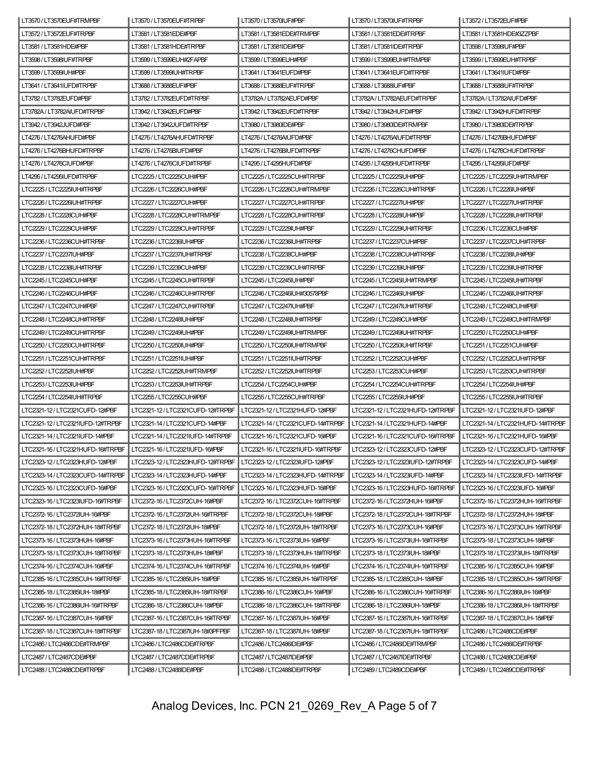| LT3570/LT3570EUF#TRMPBF                                         | LT3570/LT3570EUF#TRPBF            | LT3570/LT3570IUF#PBF              | LT3570/LT3570IUF#TRPBF            | LT3572/LT3572EUF#PBF              |
|-----------------------------------------------------------------|-----------------------------------|-----------------------------------|-----------------------------------|-----------------------------------|
| LT3572/LT3572EUF#TRPBF                                          | LT3581/LT3581EDE#PBF              | LT3581 / LT3581EDE#TRMPBF         | LT3581/LT3581EDE#TRPBF            | LT3581 / LT3581HDE#3ZZPBF         |
| LT3581/LT3581HDE#PBF                                            | LT3581/LT3581HDE#TRPBF            | LT3581 / LT3581IDE#PBF            | LT3581/LT3581IDE#TRPBF            | LT3598 / LT3598IUF#PBF            |
| LT3598 / LT3598IUF#TRPBF                                        | LT3599 / LT3599EUH#2FAPBF         | LT3599 / LT3599EUH#PBF            | LT3599 / LT3599EUH#TRMPBF         | LT3599/LT3599EUH#TRPBF            |
| LT3599 / LT3599IUH#PBF                                          | LT3599/LT3599IUH#TRPBF            | LT3641/LT3641EUFD#PBF             | LT3641/LT3641EUFD#TRPBF           | LT3641 / LT3641IUFD#PBF           |
| LT3641/LT3641IUFD#TRPBF                                         | LT3688 / LT3688EUF#PBF            | LT3688/LT3688EUF#TRPBF            | LT3688 / LT3688IUF#PBF            | LT3688 / LT3688IUF#TRPBF          |
| LT3782/LT3782EUFD#PBF                                           | LT3782/LT3782EUFD#TRPBF           | LT3782A/LT3782AEUFD#PBF           | LT3782A/LT3782AEUFD#TRPBF         | LT3782A/LT3782AIUFD#PBF           |
| LT3782A/LT3782AIUFD#TRPBF                                       | LT3942/LT3942EUFD#PBF             | LT3942/LT3942EUFD#TRPBF           | LT3942/LT3942HUFD#PBF             | LT3942/LT3942HUFD#TRPBF           |
| LT3942 / LT3942JUFD#PBF                                         | LT3942 / LT3942JUFD#TRPBF         | LT3980/LT3980IDE#PBF              | LT3980/LT3980IDE#TRMPBF           | LT3980/LT3980IDE#TRPBF            |
| LT4276/LT4276AHUFD#PBF                                          | LT4276/LT4276AHUFD#TRPBF          | LT4276 / LT4276AIUFD#PBF          | LT4276 / LT4276AIUFD#TRPBF        | LT4276 / LT4276BHUFD#PBF          |
| LT4276 / LT4276BHUFD#TRPBF                                      | LT4276/LT4276BIUFD#PBF            | LT4276/LT4276BIUFD#TRPBF          | LT4276 / LT4276CHUFD#PBF          | LT4276/LT4276CHUFD#TRPBF          |
| LT4276 / LT4276CIUFD#PBF                                        | LT4276/LT4276CIUFD#TRPBF          | LT4295/LT4295HUFD#PBF             | LT4295/LT4295HUFD#TRPBF           | LT4295 / LT4295IUFD#PBF           |
| LT4295/LT4295IUFD#TRPBF                                         | LTC2225/LTC2225CUH#PBF            | LTC2225/LTC2225CUH#TRPBF          | LTC2225 / LTC2225IUH#PBF          | LTC2225/LTC2225IUH#TRMPBF         |
| LTC2225/LTC2225IUH#TRPBF                                        | LTC2226 / LTC2226CUH#PBF          | LTC2226/LTC2226CUH#TRMPBF         | LTC2226/LTC2226CUH#TRPBF          | LTC2226 / LTC2226IUH#PBF          |
| LTC2226/LTC2226IUH#TRPBF                                        | LTC2227 / LTC2227CUH#PBF          | LTC2227 / LTC2227CUH#TRPBF        | LTC2227 / LTC2227IUH#PBF          | LTC2227 / LTC2227IUH#TRPBF        |
| LTC2228 / LTC2228CUH#PBF                                        | LTC2228/LTC2228CUH#TRMPBF         | LTC2228 / LTC2228CUH#TRPBF        | LTC2228 / LTC2228IUH#PBF          | LTC2228/LTC2228IUH#TRPBF          |
| LTC2229 / LTC2229CUH#PBF                                        | LTC2229/LTC2229CUH#TRPBF          | LTC2229 / LTC2229IUH#PBF          | LTC2229/LTC2229IUH#TRPBF          | LTC2236/LTC2236CUH#PBF            |
| LTC2236/LTC2236CUH#TRPBF                                        | LTC2236 / LTC2236IUH#PBF          | LTC2236/LTC2236IUH#TRPBF          | LTC2237 / LTC2237CUH#PBF          | LTC2237 / LTC2237CUH#TRPBF        |
| LTC2237 / LTC2237IUH#PBF                                        | LTC2237 / LTC2237IUH#TRPBF        | LTC2238/LTC2238CUH#PBF            | LTC2238/LTC2238CUH#TRPBF          | LTC2238 / LTC2238IUH#PBF          |
| LTC2238/LTC2238IUH#TRPBF                                        | LTC2239 / LTC2239CUH#PBF          | LTC2239/LTC2239CUH#TRPBF          | LTC2239 / LTC2239IUH#PBF          | LTC2239/LTC2239IUH#TRPBF          |
| LTC2245/LTC2245CUH#PBF                                          | LTC2245/LTC2245CUH#TRPBF          | LTC2245 / LTC2245IUH#PBF          | LTC2245/LTC2245IUH#TRMPBF         | LTC2245/LTC2245IUH#TRPBF          |
| LTC2246 / LTC2246CUH#PBF                                        | LTC2246 / LTC2246CUH#TRPBF        | LTC2246 / LTC2246IUH#30578PBF     | LTC2246 / LTC2246IUH#PBF          | LTC2246/LTC2246IUH#TRPBF          |
| LTC2247 / LTC2247CUH#PBF                                        | LTC2247 / LTC2247CUH#TRPBF        | LTC2247 / LTC2247IUH#PBF          | LTC2247 / LTC2247IUH#TRPBF        | LTC2248 / LTC2248CUH#PBF          |
| LTC2248/LTC2248CUH#TRPBF                                        | LTC2248 / LTC2248IUH#PBF          | LTC2248/LTC2248IUH#TRPBF          | LTC2249/LTC2249CUH#PBF            | LTC2249/LTC2249CUH#TRMPBF         |
| LTC2249 / LTC2249CUH#TRPBF                                      | LTC2249 / LTC2249IUH#PBF          | LTC2249/LTC2249IUH#TRMPBF         | LTC2249/LTC2249IUH#TRPBF          | LTC2250/LTC2250CUH#PBF            |
| LTC2250/LTC2250CUH#TRPBF                                        | LTC2250 / LTC2250IUH#PBF          | LTC2250/LTC2250IUH#TRMPBF         | LTC2250/LTC2250IUH#TRPBF          | LTC2251/LTC2251CUH#PBF            |
| LTC2251 / LTC2251CUH#TRPBF                                      | LTC2251 / LTC2251IUH#PBF          | LTC2251/LTC2251IUH#TRPBF          | LTC2252 / LTC2252CUH#PBF          | LTC2252 / LTC2252CUH#TRPBF        |
| LTC2252 / LTC2252IUH#PBF                                        | LTC2252 / LTC2252IUH#TRMPBF       | LTC2252 / LTC2252IUH#TRPBF        | LTC2253/LTC2253CUH#PBF            | LTC2253/LTC2253CUH#TRPBF          |
| LTC2253 / LTC2253IUH#PBF                                        | LTC2253/LTC2253IUH#TRPBF          | LTC2254 / LTC2254CUH#PBF          | LTC2254 / LTC2254CUH#TRPBF        | LTC2254 / LTC2254IUH#PBF          |
| LTC2254 / LTC2254IUH#TRPBF                                      | LTC2255/LTC2255CUH#PBF            | LTC2255 / LTC2255CUH#TRPBF        | LTC2255 / LTC2255IUH#PBF          | LTC2255 / LTC2255IUH#TRPBF        |
| LTC2321-12 / LTC2321CUFD-12#PBF                                 | LTC2321-12 / LTC2321CUFD-12#TRPBF | LTC2321-12 / LTC2321HUFD-12#PBF   | LTC2321-12 / LTC2321HUFD-12#TRPBF | LTC2321-12 / LTC2321IUFD-12#PBF   |
| LTC2321-12 / LTC2321IUFD-12#TRPBF                               | LTC2321-14 / LTC2321CUFD-14#PBF   | LTC2321-14 / LTC2321CUFD-14#TRPBF | LTC2321-14 / LTC2321HUFD-14#PBF   | LTC2321-14 / LTC2321HUFD-14#TRPBF |
| LTC2321-14 / LTC2321IUFD-14#PBF                                 | LTC2321-14 / LTC2321IUFD-14#TRPBF | LTC2321-16 / LTC2321CUFD-16#PBF   | LTC2321-16/LTC2321CUFD-16#TRPBF   | LTC2321-16 / LTC2321HUFD-16#PBF   |
| LTC2321-16/LTC2321HUFD-16#TRPBF   LTC2321-16/LTC2321IUFD-16#PBF |                                   | LTC2321-16 / LTC2321IUFD-16#TRPBF | LTC2323-12 / LTC2323CUFD-12#PBF   | LTC2323-12 / LTC2323CUFD-12#TRPBF |
| LTC2323-12 / LTC2323HUFD-12#PBF                                 | LTC2323-12 / LTC2323HUFD-12#TRPBF | LTC2323-12 / LTC2323IUFD-12#PBF   | LTC2323-12 / LTC2323IUFD-12#TRPBF | LTC2323-14 / LTC2323CUFD-14#PBF   |
| LTC2323-14 / LTC2323CUFD-14#TRPBF                               | LTC2323-14 / LTC2323HUFD-14#PBF   | LTC2323-14 / LTC2323HUFD-14#TRPBF | LTC2323-14 / LTC2323IUFD-14#PBF   | LTC2323-14 / LTC2323IUFD-14#TRPBF |
| LTC2323-16 / LTC2323CUFD-16#PBF                                 | LTC2323-16 / LTC2323CUFD-16#TRPBF | LTC2323-16 / LTC2323HUFD-16#PBF   | LTC2323-16 / LTC2323HUFD-16#TRPBF | LTC2323-16 / LTC2323IUFD-16#PBF   |
| LTC2323-16 / LTC2323IUFD-16#TRPBF                               | LTC2372-16 / LTC2372CUH-16#PBF    | LTC2372-16 / LTC2372CUH-16#TRPBF  | LTC2372-16 / LTC2372HUH-16#PBF    | LTC2372-16/LTC2372HUH-16#TRPBF    |
| LTC2372-16 / LTC2372IUH-16#PBF                                  | LTC2372-16/LTC2372IUH-16#TRPBF    | LTC2372-18 / LTC2372CUH-18#PBF    | LTC2372-18 / LTC2372CUH-18#TRPBF  | LTC2372-18 / LTC2372HUH-18#PBF    |
| LTC2372-18 / LTC2372HUH-18#TRPBF                                | LTC2372-18 / LTC2372IUH-18#PBF    | LTC2372-18 / LTC2372IUH-18#TRPBF  | LTC2373-16 / LTC2373CUH-16#PBF    | LTC2373-16/LTC2373CUH-16#TRPBF    |
| LTC2373-16 / LTC2373HUH-16#PBF                                  | LTC2373-16/LTC2373HUH-16#TRPBF    | LTC2373-16 / LTC2373IUH-16#PBF    | LTC2373-16/LTC2373IUH-16#TRPBF    | LTC2373-18 / LTC2373CUH-18#PBF    |
| LTC2373-18 / LTC2373CUH-18#TRPBF                                | LTC2373-18 / LTC2373HUH-18#PBF    | LTC2373-18 / LTC2373HUH-18#TRPBF  | LTC2373-18 / LTC2373IUH-18#PBF    | LTC2373-18 / LTC2373IUH-18#TRPBF  |
| LTC2374-16 / LTC2374CUH-16#PBF                                  | LTC2374-16/LTC2374CUH-16#TRPBF    | LTC2374-16 / LTC2374IUH-16#PBF    | LTC2374-16 / LTC2374IUH-16#TRPBF  | LTC2385-16 / LTC2385CUH-16#PBF    |
| LTC2385-16 / LTC2385CUH-16#TRPBF                                | LTC2385-16 / LTC2385IUH-16#PBF    | LTC2385-16 / LTC2385IUH-16#TRPBF  | LTC2385-18 / LTC2385CUH-18#PBF    | LTC2385-18 / LTC2385CUH-18#TRPBF  |
| LTC2385-18 / LTC2385IUH-18#PBF                                  | LTC2385-18 / LTC2385IUH-18#TRPBF  | LTC2386-16 / LTC2386CUH-16#PBF    | LTC2386-16/LTC2386CUH-16#TRPBF    | LTC2386-16 / LTC2386IUH-16#PBF    |
| LTC2386-16 / LTC2386IUH-16#TRPBF                                | LTC2386-18 / LTC2386CUH-18#PBF    | LTC2386-18 / LTC2386CUH-18#TRPBF  | LTC2386-18 / LTC2386IUH-18#PBF    | LTC2386-18 / LTC2386IUH-18#TRPBF  |
| LTC2387-16 / LTC2387CUH-16#PBF                                  | LTC2387-16/LTC2387CUH-16#TRPBF    | LTC2387-16 / LTC2387IUH-16#PBF    | LTC2387-16 / LTC2387IUH-16#TRPBF  | LTC2387-18 / LTC2387CUH-18#PBF    |
| LTC2387-18 / LTC2387CUH-18#TRPBF                                | LTC2387-18 / LTC2387IUH-18#3PFPBF | LTC2387-18 / LTC2387IUH-18#PBF    | LTC2387-18 / LTC2387IUH-18#TRPBF  | LTC2486/LTC2486CDE#PBF            |
| LTC2486 / LTC2486CDE#TRMPBF                                     | LTC2486/LTC2486CDE#TRPBF          | LTC2486/LTC2486IDE#PBF            | LTC2486/LTC2486IDE#TRMPBF         | LTC2486/LTC2486IDE#TRPBF          |
| LTC2487 / LTC2487CDE#PBF                                        | LTC2487 / LTC2487CDE#TRPBF        | LTC2487 / LTC2487IDE#PBF          | LTC2487 / LTC2487IDE#TRPBF        | LTC2488/LTC2488CDE#PBF            |
| LTC2488 / LTC2488CDE#TRPBF                                      | LTC2488 / LTC2488IDE#PBF          | LTC2488/LTC2488IDE#TRPBF          | LTC2489/LTC2489CDE#PBF            | LTC2489/LTC2489CDE#TRPBF          |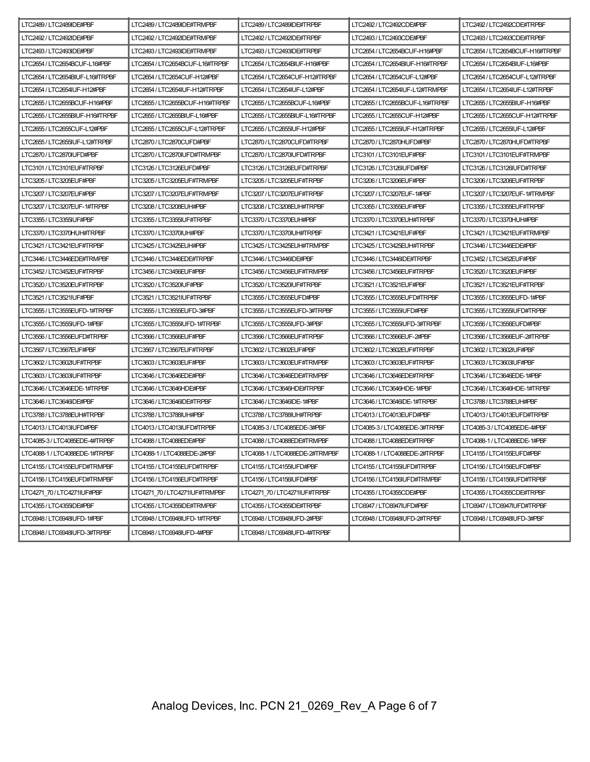| LTC2489 / LTC2489IDE#PBF        | LTC2489 / LTC2489IDE#TRMPBF     | LTC2489 / LTC2489IDE#TRPBF     | LTC2492 / LTC2492CDE#PBF        | LTC2492 / LTC2492CDE#TRPBF      |
|---------------------------------|---------------------------------|--------------------------------|---------------------------------|---------------------------------|
| LTC2492 / LTC2492IDE#PBF        | LTC2492 / LTC2492IDE#TRMPBF     | LTC2492 / LTC2492IDE#TRPBF     | LTC2493 / LTC2493CDE#PBF        | LTC2493 / LTC2493CDE#TRPBF      |
| LTC2493 / LTC2493IDE#PBF        | LTC2493 / LTC2493IDE#TRMPBF     | LTC2493 / LTC2493IDE#TRPBF     | LTC2654 / LTC2654BCUF-H16#PBF   | LTC2654 / LTC2654BCUF-H16#TRPBF |
| LTC2654 / LTC2654BCUF-L16#PBF   | LTC2654 / LTC2654BCUF-L16#TRPBF | LTC2654 / LTC2654BIUF-H16#PBF  | LTC2654 / LTC2654BIUF-H16#TRPBF | LTC2654 / LTC2654BIUF-L16#PBF   |
| LTC2654 / LTC2654BIUF-L16#TRPBF | LTC2654 / LTC2654CUF-H12#PBF    | LTC2654 / LTC2654CUF-H12#TRPBF | LTC2654 / LTC2654CUF-L12#PBF    | LTC2654 / LTC2654CUF-L12#TRPBF  |
| LTC2654 / LTC2654IUF-H12#PBF    | LTC2654 / LTC2654IUF-H12#TRPBF  | LTC2654 / LTC2654IUF-L12#PBF   | LTC2654 / LTC2654IUF-L12#TRMPBF | LTC2654 / LTC2654IUF-L12#TRPBF  |
| LTC2655/LTC2655BCUF-H16#PBF     | LTC2655/LTC2655BCUF-H16#TRPBF   | LTC2655/LTC2655BCUF-L16#PBF    | LTC2655/LTC2655BCUF-L16#TRPBF   | LTC2655/LTC2655BIUF-H16#PBF     |
| LTC2655/LTC2655BIUF-H16#TRPBF   | LTC2655 / LTC2655BIUF-L16#PBF   | LTC2655/LTC2655BIUF-L16#TRPBF  | LTC2655 / LTC2655CUF-H12#PBF    | LTC2655/LTC2655CUF-H12#TRPBF    |
| LTC2655 / LTC2655CUF-L12#PBF    | LTC2655/LTC2655CUF-L12#TRPBF    | LTC2655 / LTC2655IUF-H12#PBF   | LTC2655/LTC2655IUF-H12#TRPBF    | LTC2655 / LTC2655IUF-L12#PBF    |
| LTC2655 / LTC2655IUF-L12#TRPBF  | LTC2870/LTC2870CUFD#PBF         | LTC2870 / LTC2870CUFD#TRPBF    | LTC2870/LTC2870HUFD#PBF         | LTC2870/LTC2870HUFD#TRPBF       |
| LTC2870/LTC2870IUFD#PBF         | LTC2870/LTC2870IUFD#TRMPBF      | LTC2870 / LTC2870IUFD#TRPBF    | LTC3101 / LTC3101EUF#PBF        | LTC3101 / LTC3101EUF#TRMPBF     |
| LTC3101 / LTC3101EUF#TRPBF      | LTC3126/LTC3126EUFD#PBF         | LTC3126 / LTC3126EUFD#TRPBF    | LTC3126/LTC3126IUFD#PBF         | LTC3126 / LTC3126IUFD#TRPBF     |
| LTC3205 / LTC3205EUF#PBF        | LTC3205/LTC3205EUF#TRMPBF       | LTC3205/LTC3205EUF#TRPBF       | LTC3206/LTC3206EUF#PBF          | LTC3206/LTC3206EUF#TRPBF        |
| LTC3207 / LTC3207EUF#PBF        | LTC3207 / LTC3207EUF#TRMPBF     | LTC3207 / LTC3207EUF#TRPBF     | LTC3207 / LTC3207EUF-1#PBF      | LTC3207 / LTC3207EUF-1#TRMPBF   |
| LTC3207 / LTC3207EUF-1#TRPBF    | LTC3208 / LTC3208EUH#PBF        | LTC3208 / LTC3208EUH#TRPBF     | LTC3355/LTC3355EUF#PBF          | LTC3355/LTC3355EUF#TRPBF        |
| LTC3355 / LTC3355IUF#PBF        | LTC3355 / LTC3355IUF#TRPBF      | LTC3370/LTC3370EUH#PBF         | LTC3370 / LTC3370EUH#TRPBF      | LTC3370/LTC3370HUH#PBF          |
| LTC3370/LTC3370HUH#TRPBF        | LTC3370/LTC3370IUH#PBF          | LTC3370/LTC3370IUH#TRPBF       | LTC3421 / LTC3421EUF#PBF        | LTC3421 / LTC3421EUF#TRMPBF     |
| LTC3421 / LTC3421EUF#TRPBF      | LTC3425/LTC3425EUH#PBF          | LTC3425/LTC3425EUH#TRMPBF      | LTC3425 / LTC3425EUH#TRPBF      | LTC3446 / LTC3446EDE#PBF        |
| LTC3446/LTC3446EDE#TRMPBF       | LTC3446/LTC3446EDE#TRPBF        | LTC3446/LTC3446IDE#PBF         | LTC3446/LTC3446IDE#TRPBF        | LTC3452 / LTC3452EUF#PBF        |
| LTC3452 / LTC3452EUF#TRPBF      | LTC3456 / LTC3456EUF#PBF        | LTC3456 / LTC3456EUF#TRMPBF    | LTC3456 / LTC3456EUF#TRPBF      | LTC3520 / LTC3520EUF#PBF        |
| LTC3520/LTC3520EUF#TRPBF        | LTC3520 / LTC3520IUF#PBF        | LTC3520/LTC3520IUF#TRPBF       | LTC3521 / LTC3521EUF#PBF        | LTC3521 / LTC3521EUF#TRPBF      |
| LTC3521/LTC3521IUF#PBF          | LTC3521 / LTC3521IUF#TRPBF      | LTC3555 / LTC3555EUFD#PBF      | LTC3555/LTC3555EUFD#TRPBF       | LTC3555/LTC3555EUFD-1#PBF       |
| LTC3555 / LTC3555EUFD-1#TRPBF   | LTC3555 / LTC3555EUFD-3#PBF     | LTC3555/LTC3555EUFD-3#TRPBF    | LTC3555 / LTC3555IUFD#PBF       | LTC3555 / LTC3555IUFD#TRPBF     |
| LTC3555 / LTC3555IUFD-1#PBF     | LTC3555 / LTC3555IUFD-1#TRPBF   | LTC3555 / LTC3555IUFD-3#PBF    | LTC3555 / LTC3555IUFD-3#TRPBF   | LTC3556 / LTC3556EUFD#PBF       |
| LTC3556/LTC3556EUFD#TRPBF       | LTC3566/LTC3566EUF#PBF          | LTC3566 / LTC3566EUF#TRPBF     | LTC3566 / LTC3566EUF-2#PBF      | LTC3566/LTC3566EUF-2#TRPBF      |
| LTC3567 / LTC3567EUF#PBF        | LTC3567 / LTC3567EUF#TRPBF      | LTC3602 / LTC3602EUF#PBF       | LTC3602/LTC3602EUF#TRPBF        | LTC3602 / LTC3602IUF#PBF        |
| LTC3602/LTC3602IUF#TRPBF        | LTC3603/LTC3603EUF#PBF          | LTC3603/LTC3603EUF#TRMPBF      | LTC3603/LTC3603EUF#TRPBF        | LTC3603/LTC3603IUF#PBF          |
| LTC3603/LTC3603IUF#TRPBF        | LTC3646 / LTC3646EDE#PBF        | LTC3646 / LTC3646EDE#TRMPBF    | LTC3646 / LTC3646EDE#TRPBF      | LTC3646/LTC3646EDE-1#PBF        |
| LTC3646 / LTC3646EDE-1#TRPBF    | LTC3646 / LTC3646HDE#PBF        | LTC3646/LTC3646HDE#TRPBF       | LTC3646/LTC3646HDE-1#PBF        | LTC3646/LTC3646HDE-1#TRPBF      |
| LTC3646/LTC3646IDE#PBF          | LTC3646/LTC3646IDE#TRPBF        | LTC3646 / LTC3646IDE-1#PBF     | LTC3646 / LTC3646IDE-1#TRPBF    | LTC3788 / LTC3788EUH#PBF        |
| LTC3788 / LTC3788EUH#TRPBF      | LTC3788 / LTC3788IUH#PBF        | LTC3788 / LTC3788IUH#TRPBF     | LTC4013/LTC4013EUFD#PBF         | LTC4013/LTC4013EUFD#TRPBF       |
| LTC4013/LTC4013IUFD#PBF         | LTC4013/LTC4013IUFD#TRPBF       | LTC4085-3 / LTC4085EDE-3#PBF   | LTC4085-3 / LTC4085EDE-3#TRPBF  | LTC4085-3 / LTC4085EDE-4#PBF    |
| LTC4085-3/LTC4085EDE-4#TRPBF    | LTC4088 / LTC4088EDE#PBF        | LTC4088 / LTC4088EDE#TRMPBF    | LTC4088 / LTC4088EDE#TRPBF      | LTC4088-1 / LTC4088EDE-1#PBF    |
| LTC4088-1 / LTC4088EDE-1#TRPBF  | LTC4088-1 / LTC4088EDE-2#PBF    | LTC4088-1/LTC4088EDE-2#TRMPBF  | LTC4088-1/LTC4088EDE-2#TRPBF    | LTC4155/LTC4155EUFD#PBF         |
| LTC4155 / LTC4155EUFD#TRMPBF    | LTC4155 / LTC4155EUFD#TRPBF     | LTC4155 / LTC4155IUFD#PBF      | LTC4155 / LTC4155IUFD#TRPBF     | LTC4156 / LTC4156EUFD#PBF       |
| LTC4156 / LTC4156EUFD#TRMPBF    | LTC4156 / LTC4156EUFD#TRPBF     | LTC4156 / LTC4156IUFD#PBF      | LTC4156 / LTC4156IUFD#TRMPBF    | LTC4156 / LTC4156IUFD#TRPBF     |
| LTC4271 70 / LTC4271IUF#PBF     | LTC4271 70 / LTC4271IUF#TRMPBF  | LTC4271 70 / LTC4271IUF#TRPBF  | LTC4355 / LTC4355CDE#PBF        | LTC4355 / LTC4355CDE#TRPBF      |
| LTC4355 / LTC4355IDE#PBF        | LTC4355 / LTC4355IDE#TRMPBF     | LTC4355 / LTC4355IDE#TRPBF     | LTC6947 / LTC6947IUFD#PBF       | LTC6947 / LTC6947IUFD#TRPBF     |
| LTC6948 / LTC6948IUFD-1#PBF     | LTC6948 / LTC6948IUFD-1#TRPBF   | LTC6948 / LTC6948IUFD-2#PBF    | LTC6948 / LTC6948IUFD-2#TRPBF   | LTC6948/LTC6948IUFD-3#PBF       |
| LTC6948 / LTC6948IUFD-3#TRPBF   | LTC6948 / LTC6948IUFD-4#PBF     | LTC6948 / LTC6948IUFD-4#TRPBF  |                                 |                                 |